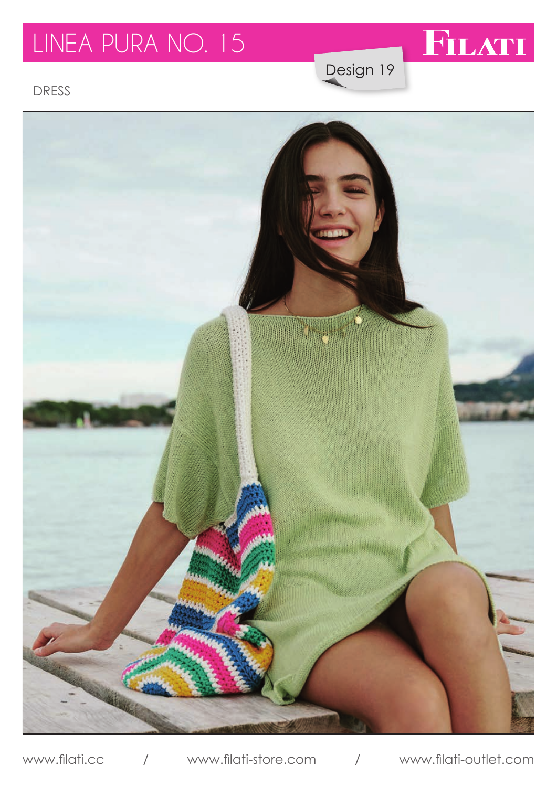## LINEA PURA NO. 15

FILATI

Design 19

DRESS



www.filati.cc / www.filati-store.com / www.filati-outlet.com